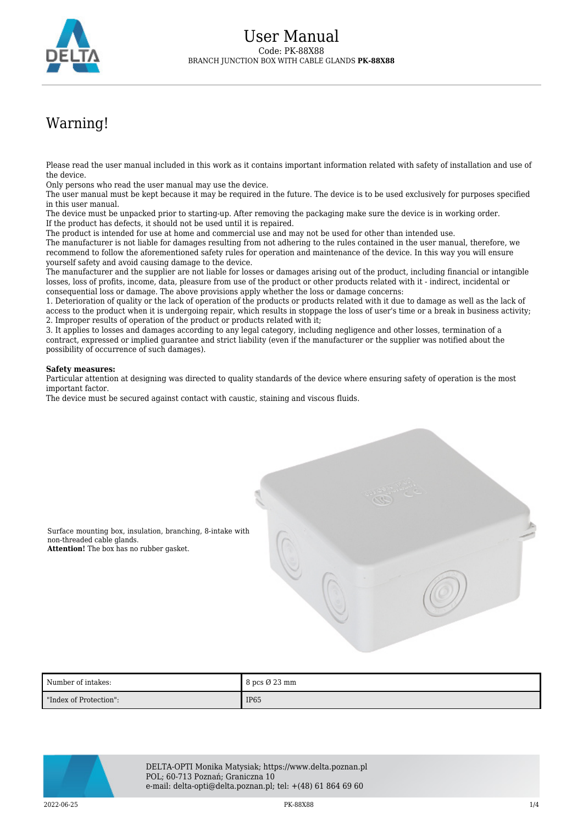

# Warning!

Please read the user manual included in this work as it contains important information related with safety of installation and use of the device.

Only persons who read the user manual may use the device.

The user manual must be kept because it may be required in the future. The device is to be used exclusively for purposes specified in this user manual.

The device must be unpacked prior to starting-up. After removing the packaging make sure the device is in working order. If the product has defects, it should not be used until it is repaired.

The product is intended for use at home and commercial use and may not be used for other than intended use.

The manufacturer is not liable for damages resulting from not adhering to the rules contained in the user manual, therefore, we recommend to follow the aforementioned safety rules for operation and maintenance of the device. In this way you will ensure yourself safety and avoid causing damage to the device.

The manufacturer and the supplier are not liable for losses or damages arising out of the product, including financial or intangible losses, loss of profits, income, data, pleasure from use of the product or other products related with it - indirect, incidental or consequential loss or damage. The above provisions apply whether the loss or damage concerns:

1. Deterioration of quality or the lack of operation of the products or products related with it due to damage as well as the lack of access to the product when it is undergoing repair, which results in stoppage the loss of user's time or a break in business activity; 2. Improper results of operation of the product or products related with it;

3. It applies to losses and damages according to any legal category, including negligence and other losses, termination of a contract, expressed or implied guarantee and strict liability (even if the manufacturer or the supplier was notified about the possibility of occurrence of such damages).

#### **Safety measures:**

Particular attention at designing was directed to quality standards of the device where ensuring safety of operation is the most important factor.

The device must be secured against contact with caustic, staining and viscous fluids.



Surface mounting box, insulation, branching, 8-intake with non-threaded cable glands. **Attention!** The box has no rubber gasket.

| Number of intakes:     | $8 \text{ pcs } \varnothing 23 \text{ mm}$ |
|------------------------|--------------------------------------------|
| "Index of Protection": | <b>IP65</b>                                |



DELTA-OPTI Monika Matysiak; https://www.delta.poznan.pl POL; 60-713 Poznań; Graniczna 10 e-mail: delta-opti@delta.poznan.pl; tel: +(48) 61 864 69 60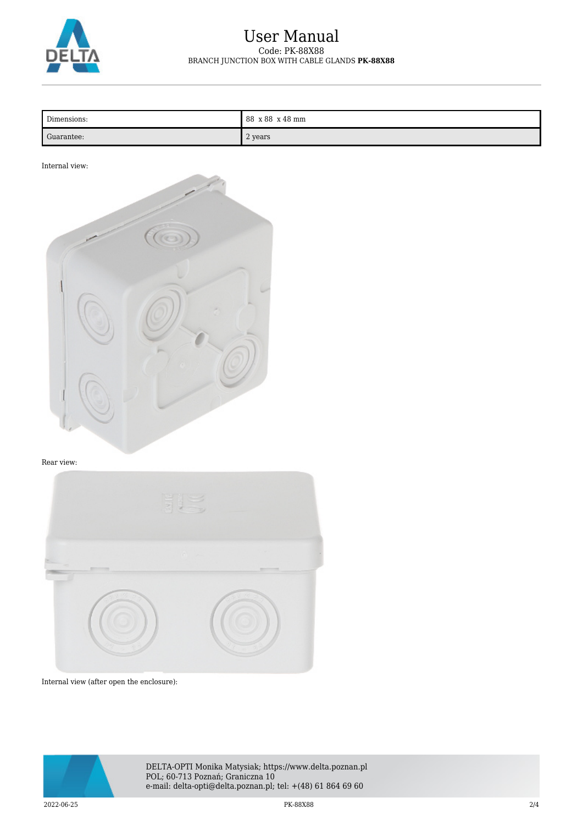

## User Manual Code: PK-88X88 BRANCH JUNCTION BOX WITH CABLE GLANDS **PK-88X88**

| Dimensions: | 88 x 88 x 48 mm |
|-------------|-----------------|
| Guarantee:  | 2 years         |

#### Internal view:



#### Rear view:



Internal view (after open the enclosure):



DELTA-OPTI Monika Matysiak; https://www.delta.poznan.pl POL; 60-713 Poznań; Graniczna 10 e-mail: delta-opti@delta.poznan.pl; tel: +(48) 61 864 69 60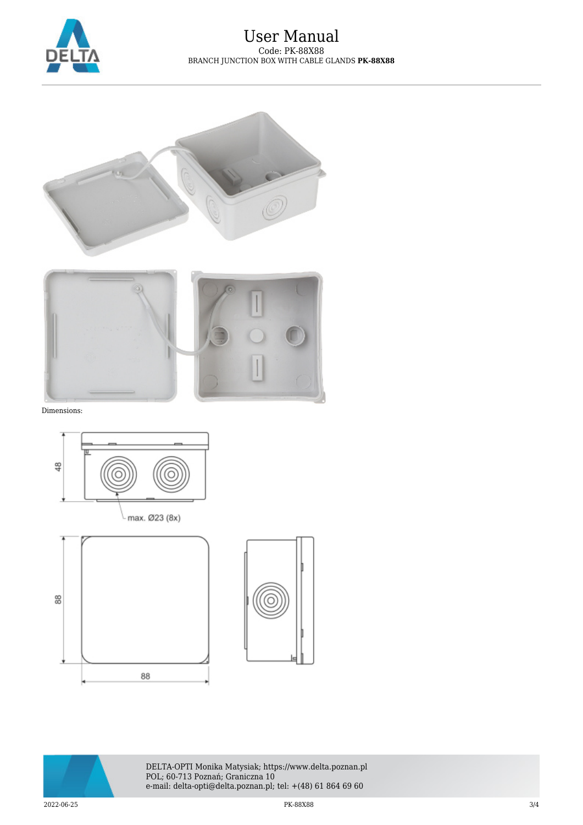

### User Manual Code: PK-88X88 BRANCH JUNCTION BOX WITH CABLE GLANDS **PK-88X88**





Dimensions:









DELTA-OPTI Monika Matysiak; https://www.delta.poznan.pl POL; 60-713 Poznań; Graniczna 10 e-mail: delta-opti@delta.poznan.pl; tel: +(48) 61 864 69 60

 $2022-06-25$  3/4